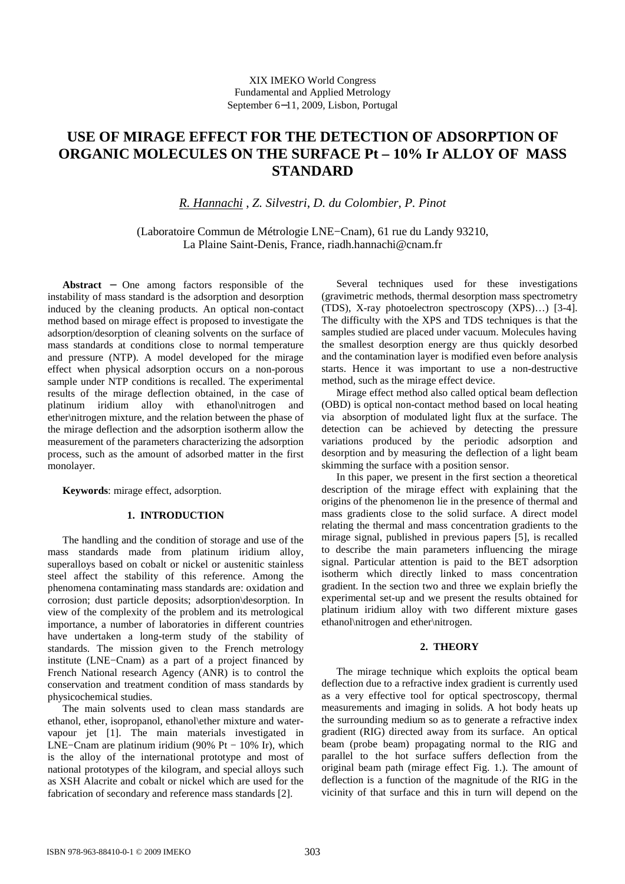# **USE OF MIRAGE EFFECT FOR THE DETECTION OF ADSORPTION OF ORGANIC MOLECULES ON THE SURFACE Pt – 10% Ir ALLOY OF MASS STANDARD**

*R. Hannachi* , *Z. Silvestri*, *D. du Colombier, P. Pinot* 

(Laboratoire Commun de Métrologie LNE−Cnam), 61 rue du Landy 93210, La Plaine Saint-Denis, France, riadh.hannachi@cnam.fr

**Abstract** − One among factors responsible of the instability of mass standard is the adsorption and desorption induced by the cleaning products. An optical non-contact method based on mirage effect is proposed to investigate the adsorption/desorption of cleaning solvents on the surface of mass standards at conditions close to normal temperature and pressure (NTP). A model developed for the mirage effect when physical adsorption occurs on a non-porous sample under NTP conditions is recalled. The experimental results of the mirage deflection obtained, in the case of platinum iridium alloy with ethanol\nitrogen and ether\nitrogen mixture, and the relation between the phase of the mirage deflection and the adsorption isotherm allow the measurement of the parameters characterizing the adsorption process, such as the amount of adsorbed matter in the first monolayer.

**Keywords**: mirage effect, adsorption.

# **1. INTRODUCTION**

The handling and the condition of storage and use of the mass standards made from platinum iridium alloy, superalloys based on cobalt or nickel or austenitic stainless steel affect the stability of this reference. Among the phenomena contaminating mass standards are: oxidation and corrosion; dust particle deposits; adsorption\desorption. In view of the complexity of the problem and its metrological importance, a number of laboratories in different countries have undertaken a long-term study of the stability of standards. The mission given to the French metrology institute (LNE−Cnam) as a part of a project financed by French National research Agency (ANR) is to control the conservation and treatment condition of mass standards by physicochemical studies.

The main solvents used to clean mass standards are ethanol, ether, isopropanol, ethanol\ether mixture and watervapour jet [1]. The main materials investigated in LNE−Cnam are platinum iridium (90% Pt  $-$  10% Ir), which is the alloy of the international prototype and most of national prototypes of the kilogram, and special alloys such as XSH Alacrite and cobalt or nickel which are used for the fabrication of secondary and reference mass standards [2].

Several techniques used for these investigations (gravimetric methods, thermal desorption mass spectrometry (TDS), X-ray photoelectron spectroscopy (XPS)…) [3-4]. The difficulty with the XPS and TDS techniques is that the samples studied are placed under vacuum. Molecules having the smallest desorption energy are thus quickly desorbed and the contamination layer is modified even before analysis starts. Hence it was important to use a non-destructive method, such as the mirage effect device.

Mirage effect method also called optical beam deflection (OBD) is optical non-contact method based on local heating via absorption of modulated light flux at the surface. The detection can be achieved by detecting the pressure variations produced by the periodic adsorption and desorption and by measuring the deflection of a light beam skimming the surface with a position sensor.

In this paper, we present in the first section a theoretical description of the mirage effect with explaining that the origins of the phenomenon lie in the presence of thermal and mass gradients close to the solid surface. A direct model relating the thermal and mass concentration gradients to the mirage signal, published in previous papers [5], is recalled to describe the main parameters influencing the mirage signal. Particular attention is paid to the BET adsorption isotherm which directly linked to mass concentration gradient. In the section two and three we explain briefly the experimental set-up and we present the results obtained for platinum iridium alloy with two different mixture gases ethanol\nitrogen and ether\nitrogen.

## **2. THEORY**

The mirage technique which exploits the optical beam deflection due to a refractive index gradient is currently used as a very effective tool for optical spectroscopy, thermal measurements and imaging in solids. A hot body heats up the surrounding medium so as to generate a refractive index gradient (RIG) directed away from its surface. An optical beam (probe beam) propagating normal to the RIG and parallel to the hot surface suffers deflection from the original beam path (mirage effect Fig. 1.). The amount of deflection is a function of the magnitude of the RIG in the vicinity of that surface and this in turn will depend on the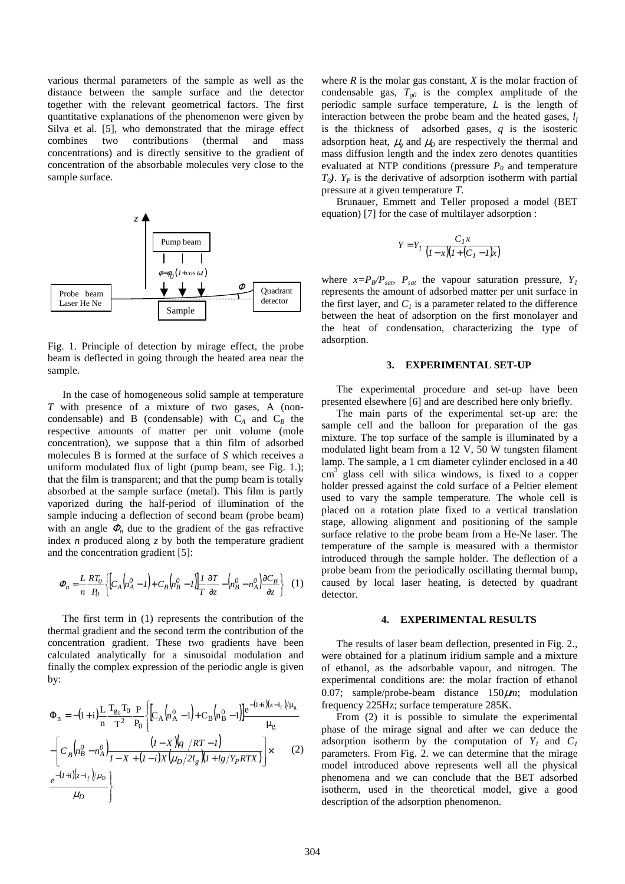various thermal parameters of the sample as well as the distance between the sample surface and the detector together with the relevant geometrical factors. The first quantitative explanations of the phenomenon were given by Silva et al. [5], who demonstrated that the mirage effect combines two contributions (thermal and mass concentrations) and is directly sensitive to the gradient of concentration of the absorbable molecules very close to the sample surface.



Fig. 1. Principle of detection by mirage effect, the probe beam is deflected in going through the heated area near the sample.

In the case of homogeneous solid sample at temperature *T* with presence of a mixture of two gases, A (noncondensable) and B (condensable) with  $C_A$  and  $C_B$  the respective amounts of matter per unit volume (mole concentration), we suppose that a thin film of adsorbed molecules B is formed at the surface of *S* which receives a uniform modulated flux of light (pump beam, see Fig. 1.); that the film is transparent; and that the pump beam is totally absorbed at the sample surface (metal). This film is partly vaporized during the half-period of illumination of the sample inducing a deflection of second beam (probe beam) with an angle  $\Phi_n$  due to the gradient of the gas refractive index *n* produced along *z* by both the temperature gradient and the concentration gradient [5]:

$$
\Phi_n = \frac{L}{n} \frac{RT_0}{P_0} \left\{ \left[ C_A \left( n_A^0 - I \right) + C_B \left( n_B^0 - I \right) \right] \frac{I}{T} \frac{\partial T}{\partial z} - \left( n_B^0 - n_A^0 \right) \frac{\partial C_B}{\partial z} \right\} \tag{1}
$$

The first term in (1) represents the contribution of the thermal gradient and the second term the contribution of the concentration gradient. These two gradients have been calculated analytically for a sinusoidal modulation and finally the complex expression of the periodic angle is given by:

$$
\Phi_{\mathbf{n}} = -(1+i)\frac{\mathbf{L}}{\mathbf{n}} \frac{\mathbf{T}_{g_0} \mathbf{T}_0}{\mathbf{T}^2} \frac{\mathbf{P}}{\mathbf{P}_0} \Biggl\{ \Biggl[ C_A \Bigl( \mathbf{n}_A^0 - 1 \Bigr) + C_B \Bigl( \mathbf{n}_B^0 - 1 \Bigr) \Biggr] \frac{e^{-(1+i)(z - 1_f)/\mu_g}}{\mu_g} -\Biggl[ C_B \Bigl( \mathbf{n}_B^0 - \mathbf{n}_A^0 \Bigr) \frac{(1 - X)(q / RT - 1)}{1 - X + (1 - i)X(\mu_D/2l_g)(1 + l_g/Y_PRTX)} \Biggr] \times (2) \frac{e^{-(1+i)(z - l_f)/\mu_D}}{\mu_D} \Biggr\}
$$

where *R* is the molar gas constant, *X* is the molar fraction of condensable gas,  $T_{g0}$  is the complex amplitude of the periodic sample surface temperature, *L* is the length of interaction between the probe beam and the heated gases, *l<sup>f</sup>* is the thickness of adsorbed gases, *q* is the isosteric adsorption heat,  $\mu_g$  and  $\mu_D$  are respectively the thermal and mass diffusion length and the index zero denotes quantities evaluated at NTP conditions (pressure *P<sup>0</sup>* and temperature  $T_0$ ).  $Y_P$  is the derivative of adsorption isotherm with partial pressure at a given temperature *T*.

Brunauer, Emmett and Teller proposed a model (BET equation) [7] for the case of multilayer adsorption :

$$
Y = Y_I \frac{C_I x}{\left(I - x\right)\left(I + \left(C_I - I\right)x\right)}
$$

where  $x = P_B/P_{sat}$ ,  $P_{sat}$  the vapour saturation pressure,  $Y_I$ represents the amount of adsorbed matter per unit surface in the first layer, and  $C<sub>l</sub>$  is a parameter related to the difference between the heat of adsorption on the first monolayer and the heat of condensation, characterizing the type of adsorption.

#### **3. EXPERIMENTAL SET-UP**

The experimental procedure and set-up have been presented elsewhere [6] and are described here only briefly.

The main parts of the experimental set-up are: the sample cell and the balloon for preparation of the gas mixture. The top surface of the sample is illuminated by a modulated light beam from a 12 V, 50 W tungsten filament lamp. The sample, a 1 cm diameter cylinder enclosed in a 40  $\text{cm}^3$  glass cell with silica windows, is fixed to a copper holder pressed against the cold surface of a Peltier element used to vary the sample temperature. The whole cell is placed on a rotation plate fixed to a vertical translation stage, allowing alignment and positioning of the sample surface relative to the probe beam from a He-Ne laser. The temperature of the sample is measured with a thermistor introduced through the sample holder. The deflection of a probe beam from the periodically oscillating thermal bump, caused by local laser heating, is detected by quadrant detector.

## **4. EXPERIMENTAL RESULTS**

The results of laser beam deflection, presented in Fig. 2., were obtained for a platinum iridium sample and a mixture of ethanol, as the adsorbable vapour, and nitrogen. The experimental conditions are: the molar fraction of ethanol 0.07; sample/probe-beam distance 150µ*m*; modulation frequency 225Hz; surface temperature 285K.

From (2) it is possible to simulate the experimental phase of the mirage signal and after we can deduce the adsorption isotherm by the computation of  $Y_I$  and  $C_I$ parameters. From Fig. 2. we can determine that the mirage model introduced above represents well all the physical phenomena and we can conclude that the BET adsorbed isotherm, used in the theoretical model, give a good description of the adsorption phenomenon.